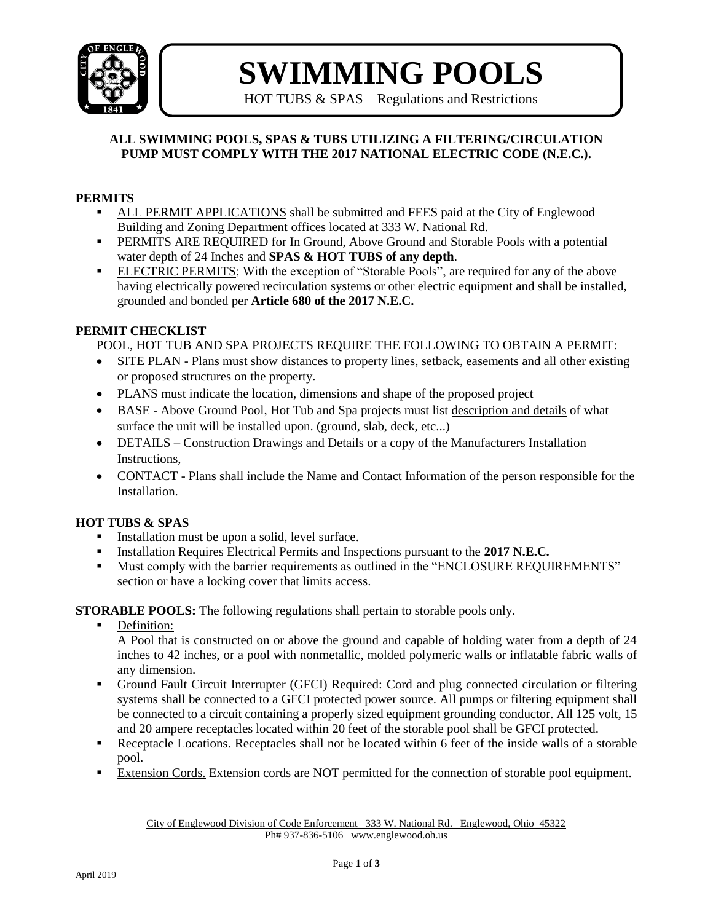

# **SWIMMING POOLS**

HOT TUBS & SPAS – Regulations and Restrictions

#### **ALL SWIMMING POOLS, SPAS & TUBS UTILIZING A FILTERING/CIRCULATION PUMP MUST COMPLY WITH THE 2017 NATIONAL ELECTRIC CODE (N.E.C.).**

#### **PERMITS**

- ALL PERMIT APPLICATIONS shall be submitted and FEES paid at the City of Englewood Building and Zoning Department offices located at 333 W. National Rd.
- PERMITS ARE REQUIRED for In Ground, Above Ground and Storable Pools with a potential water depth of 24 Inches and **SPAS & HOT TUBS of any depth**.
- ELECTRIC PERMITS; With the exception of "Storable Pools", are required for any of the above having electrically powered recirculation systems or other electric equipment and shall be installed, grounded and bonded per **Article 680 of the 2017 N.E.C.**

#### **PERMIT CHECKLIST**

POOL, HOT TUB AND SPA PROJECTS REQUIRE THE FOLLOWING TO OBTAIN A PERMIT:

- SITE PLAN Plans must show distances to property lines, setback, easements and all other existing or proposed structures on the property.
- PLANS must indicate the location, dimensions and shape of the proposed project
- BASE Above Ground Pool, Hot Tub and Spa projects must list description and details of what surface the unit will be installed upon. (ground, slab, deck, etc...)
- DETAILS Construction Drawings and Details or a copy of the Manufacturers Installation Instructions,
- CONTACT Plans shall include the Name and Contact Information of the person responsible for the Installation.

### **HOT TUBS & SPAS**

- Installation must be upon a solid, level surface.
- Installation Requires Electrical Permits and Inspections pursuant to the **2017 N.E.C.**
- Must comply with the barrier requirements as outlined in the "ENCLOSURE REQUIREMENTS" section or have a locking cover that limits access.

**STORABLE POOLS:** The following regulations shall pertain to storable pools only.

Definition:

A Pool that is constructed on or above the ground and capable of holding water from a depth of 24 inches to 42 inches, or a pool with nonmetallic, molded polymeric walls or inflatable fabric walls of any dimension.

- Ground Fault Circuit Interrupter (GFCI) Required: Cord and plug connected circulation or filtering systems shall be connected to a GFCI protected power source. All pumps or filtering equipment shall be connected to a circuit containing a properly sized equipment grounding conductor. All 125 volt, 15 and 20 ampere receptacles located within 20 feet of the storable pool shall be GFCI protected.
- Receptacle Locations. Receptacles shall not be located within 6 feet of the inside walls of a storable pool.
- **Extension Cords.** Extension cords are NOT permitted for the connection of storable pool equipment.

City of Englewood Division of Code Enforcement 333 W. National Rd. Englewood, Ohio 45322 Ph# 937-836-5106 www.englewood.oh.us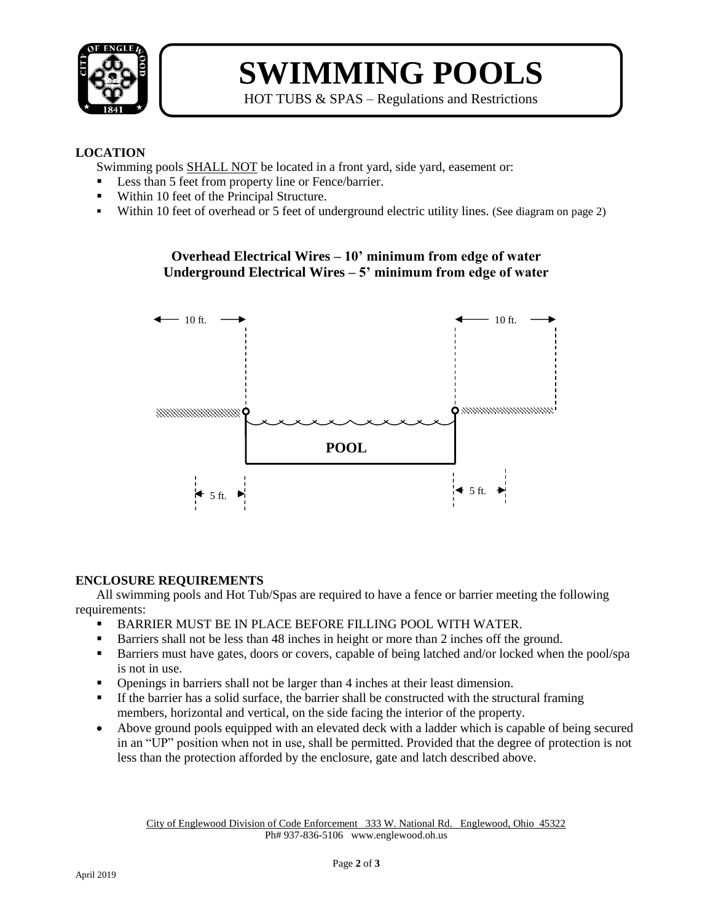

# **SWIMMING POOLS**

HOT TUBS & SPAS – Regulations and Restrictions

#### **LOCATION**

Swimming pools SHALL NOT be located in a front yard, side yard, easement or:

- Less than 5 feet from property line or Fence/barrier.
- Within 10 feet of the Principal Structure.
- Within 10 feet of overhead or 5 feet of underground electric utility lines. (See diagram on page 2)

### **Overhead Electrical Wires – 10' minimum from edge of water Underground Electrical Wires – 5' minimum from edge of water**



### **ENCLOSURE REQUIREMENTS**

All swimming pools and Hot Tub/Spas are required to have a fence or barrier meeting the following requirements:

- BARRIER MUST BE IN PLACE BEFORE FILLING POOL WITH WATER.
- Barriers shall not be less than 48 inches in height or more than 2 inches off the ground.
- Barriers must have gates, doors or covers, capable of being latched and/or locked when the pool/spa is not in use.
- Openings in barriers shall not be larger than 4 inches at their least dimension.
- If the barrier has a solid surface, the barrier shall be constructed with the structural framing members, horizontal and vertical, on the side facing the interior of the property.
- Above ground pools equipped with an elevated deck with a ladder which is capable of being secured in an "UP" position when not in use, shall be permitted. Provided that the degree of protection is not less than the protection afforded by the enclosure, gate and latch described above.